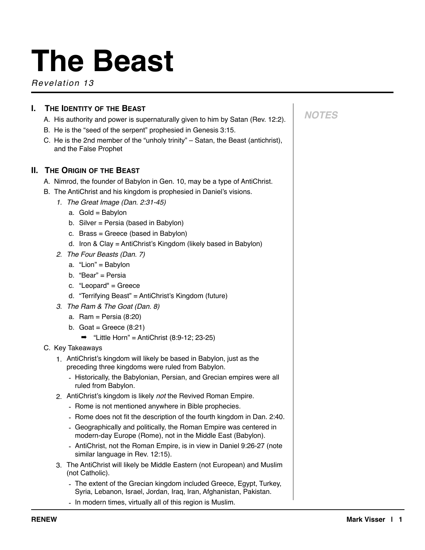# **The Beast**

*Revelation 13*

# **I. THE IDENTITY OF THE BEAST**

- A. His authority and power is supernaturally given to him by Satan (Rev. 12:2).
- B. He is the "seed of the serpent" prophesied in Genesis 3:15.
- C. He is the 2nd member of the "unholy trinity" Satan, the Beast (antichrist), and the False Prophet

# **II. THE ORIGIN OF THE BEAST**

- A. Nimrod, the founder of Babylon in Gen. 10, may be a type of AntiChrist.
- B. The AntiChrist and his kingdom is prophesied in Daniel's visions.
	- *1. The Great Image (Dan. 2:31-45)* 
		- a. Gold = Babylon
		- b. Silver = Persia (based in Babylon)
		- c. Brass = Greece (based in Babylon)
		- d. Iron & Clay = AntiChrist's Kingdom (likely based in Babylon)
	- *2. The Four Beasts (Dan. 7)* 
		- a. "Lion" = Babylon
		- b. "Bear" = Persia
		- c. "Leopard" = Greece
		- d. "Terrifying Beast" = AntiChrist's Kingdom (future)
	- *3. The Ram & The Goat (Dan. 8)* 
		- a. Ram = Persia (8:20)
		- b. Goat = Greece  $(8:21)$ 
			- $\rightarrow$  "Little Horn" = AntiChrist (8:9-12; 23-25)
- C. Key Takeaways
	- 1. AntiChrist's kingdom will likely be based in Babylon, just as the preceding three kingdoms were ruled from Babylon.
		- Historically, the Babylonian, Persian, and Grecian empires were all ruled from Babylon.
	- 2. AntiChrist's kingdom is likely *not* the Revived Roman Empire.
		- Rome is not mentioned anywhere in Bible prophecies.
		- Rome does not fit the description of the fourth kingdom in Dan. 2:40.
		- Geographically and politically, the Roman Empire was centered in modern-day Europe (Rome), not in the Middle East (Babylon).
		- AntiChrist, not the Roman Empire, is in view in Daniel 9:26-27 (note similar language in Rev. 12:15).
	- 3. The AntiChrist will likely be Middle Eastern (not European) and Muslim (not Catholic).
		- The extent of the Grecian kingdom included Greece, Egypt, Turkey, Syria, Lebanon, Israel, Jordan, Iraq, Iran, Afghanistan, Pakistan.
		- In modern times, virtually all of this region is Muslim.

# *NOTES*